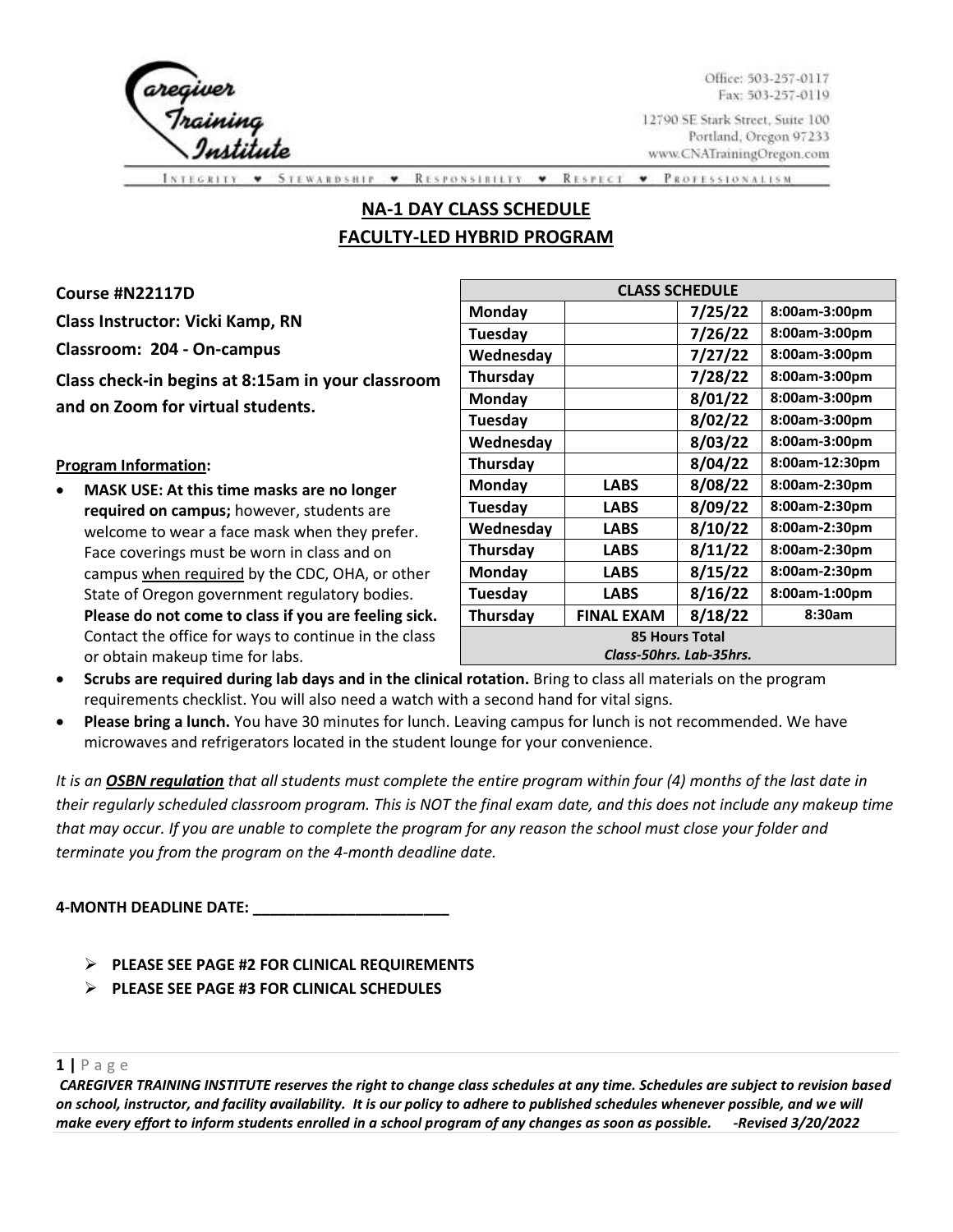

Office: 503-257-0117 Fax: 503-257-0119

12790 SE Stark Street, Suite 100 Portland, Oregon 97233 www.CNATrainingOregon.com

\* RESPECT **PROFESSIONALISM** ۰ **RESPONSIBILTY**  $\ddot{\phantom{1}}$ 

# **NA-1 DAY CLASS SCHEDULE FACULTY-LED HYBRID PROGRAM**

**Course #N22117D Class Instructor: Vicki Kamp, RN Classroom: 204 - On-campus Class check-in begins at 8:15am in your classroom and on Zoom for virtual students.** 

**Program Information:**

• **MASK USE: At this time masks are no longer required on campus;** however, students are welcome to wear a face mask when they prefer. Face coverings must be worn in class and on campus when required by the CDC, OHA, or other State of Oregon government regulatory bodies. **Please do not come to class if you are feeling sick.**  Contact the office for ways to continue in the class or obtain makeup time for labs.

| <b>CLASS SCHEDULE</b>   |                   |         |                |  |
|-------------------------|-------------------|---------|----------------|--|
| <b>Monday</b>           |                   | 7/25/22 | 8:00am-3:00pm  |  |
| Tuesday                 |                   | 7/26/22 | 8:00am-3:00pm  |  |
| Wednesday               |                   | 7/27/22 | 8:00am-3:00pm  |  |
| <b>Thursday</b>         |                   | 7/28/22 | 8:00am-3:00pm  |  |
| Monday                  |                   | 8/01/22 | 8:00am-3:00pm  |  |
| Tuesday                 |                   | 8/02/22 | 8:00am-3:00pm  |  |
| Wednesday               |                   | 8/03/22 | 8:00am-3:00pm  |  |
| <b>Thursday</b>         |                   | 8/04/22 | 8:00am-12:30pm |  |
| Monday                  | <b>LABS</b>       | 8/08/22 | 8:00am-2:30pm  |  |
| Tuesday                 | <b>LABS</b>       | 8/09/22 | 8:00am-2:30pm  |  |
| Wednesday               | LABS              | 8/10/22 | 8:00am-2:30pm  |  |
| Thursday                | <b>LABS</b>       | 8/11/22 | 8:00am-2:30pm  |  |
| <b>Monday</b>           | LABS              | 8/15/22 | 8:00am-2:30pm  |  |
| Tuesday                 | <b>LABS</b>       | 8/16/22 | 8:00am-1:00pm  |  |
| <b>Thursday</b>         | <b>FINAL EXAM</b> | 8/18/22 | 8:30am         |  |
| <b>85 Hours Total</b>   |                   |         |                |  |
| Class-50hrs. Lab-35hrs. |                   |         |                |  |

- **Scrubs are required during lab days and in the clinical rotation.** Bring to class all materials on the program requirements checklist. You will also need a watch with a second hand for vital signs.
- **Please bring a lunch.** You have 30 minutes for lunch. Leaving campus for lunch is not recommended. We have microwaves and refrigerators located in the student lounge for your convenience.

*It is an OSBN regulation that all students must complete the entire program within four (4) months of the last date in their regularly scheduled classroom program. This is NOT the final exam date, and this does not include any makeup time that may occur. If you are unable to complete the program for any reason the school must close your folder and terminate you from the program on the 4-month deadline date.* 

**4-MONTH DEADLINE DATE: \_\_\_\_\_\_\_\_\_\_\_\_\_\_\_\_\_\_\_\_\_\_\_**

- ➢ **PLEASE SEE PAGE #2 FOR CLINICAL REQUIREMENTS**
- ➢ **PLEASE SEE PAGE #3 FOR CLINICAL SCHEDULES**

## **1 |** P a g e

*CAREGIVER TRAINING INSTITUTE reserves the right to change class schedules at any time. Schedules are subject to revision based on school, instructor, and facility availability. It is our policy to adhere to published schedules whenever possible, and we will make every effort to inform students enrolled in a school program of any changes as soon as possible. -Revised 3/20/2022*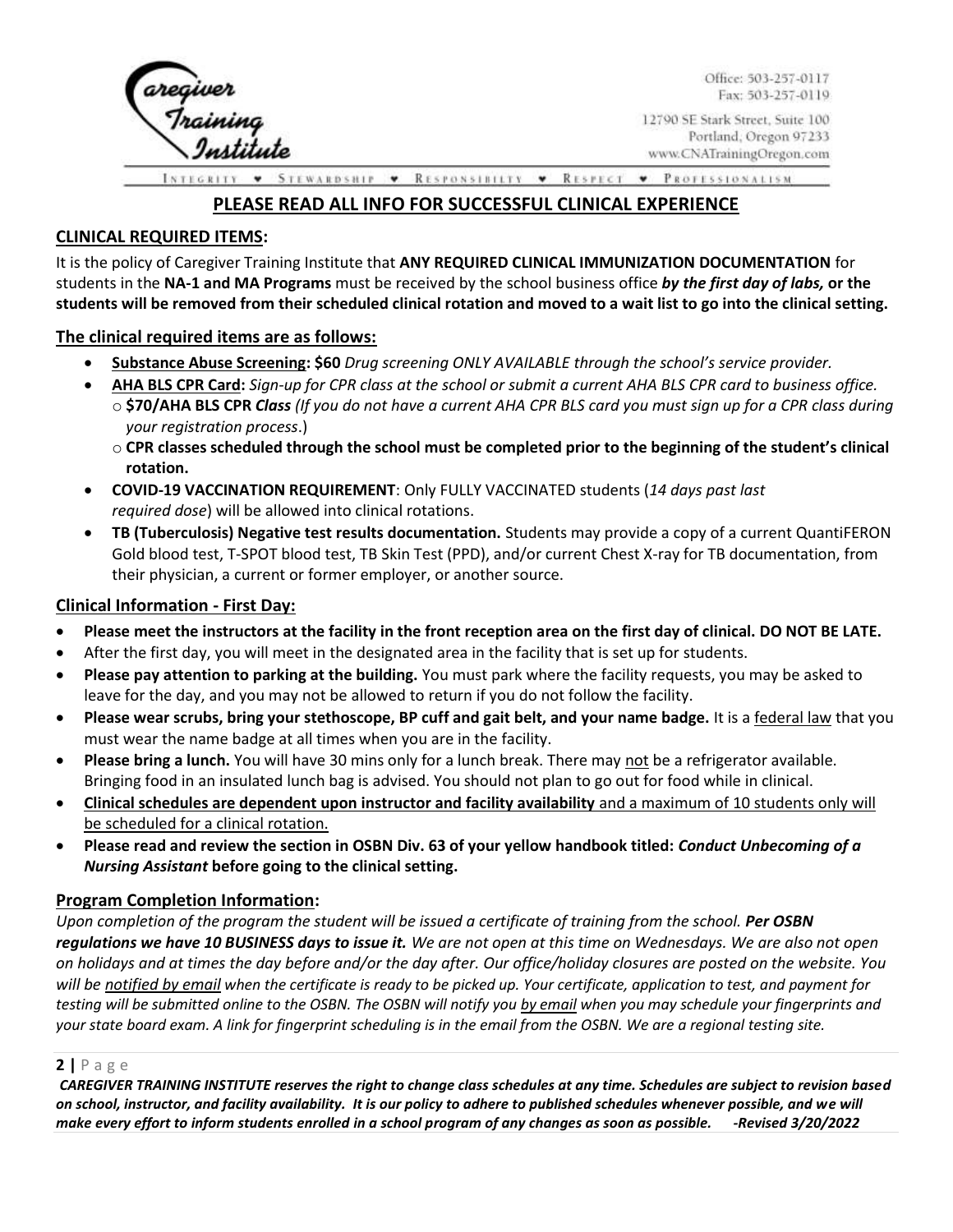

Office: 503-257-0117 Fax: 503-257-0119

12790 SE Stark Street, Suite 100 Portland, Oregon 97233 www.CNATrainingOregon.com

**STEWARDSHIP** RESPONSIBILTY • RESPECT • PROFESSIONALISM.  $\pmb{\mathrm{v}}$ 

## **PLEASE READ ALL INFO FOR SUCCESSFUL CLINICAL EXPERIENCE**

## **CLINICAL REQUIRED ITEMS:**

It is the policy of Caregiver Training Institute that **ANY REQUIRED CLINICAL IMMUNIZATION DOCUMENTATION** for students in the **NA-1 and MA Programs** must be received by the school business office *by the first day of labs,* **or the students will be removed from their scheduled clinical rotation and moved to a wait list to go into the clinical setting.**

### **The clinical required items are as follows:**

- **Substance Abuse Screening: \$60** *Drug screening ONLY AVAILABLE through the school's service provider.*
- **AHA BLS CPR Card:** *Sign-up for CPR class at the school or submit a current AHA BLS CPR card to business office.* o **\$70/AHA BLS CPR** *Class (If you do not have a current AHA CPR BLS card you must sign up for a CPR class during your registration process*.)
	- o **CPR classes scheduled through the school must be completed prior to the beginning of the student's clinical rotation.**
- **COVID-19 VACCINATION REQUIREMENT**: Only FULLY VACCINATED students (*14 days past last required dose*) will be allowed into clinical rotations.
- **TB (Tuberculosis) Negative test results documentation.** Students may provide a copy of a current QuantiFERON Gold blood test, T-SPOT blood test, TB Skin Test (PPD), and/or current Chest X-ray for TB documentation, from their physician, a current or former employer, or another source.

#### **Clinical Information - First Day:**

- **Please meet the instructors at the facility in the front reception area on the first day of clinical. DO NOT BE LATE.**
- After the first day, you will meet in the designated area in the facility that is set up for students.
- **Please pay attention to parking at the building.** You must park where the facility requests, you may be asked to leave for the day, and you may not be allowed to return if you do not follow the facility.
- **Please wear scrubs, bring your stethoscope, BP cuff and gait belt, and your name badge.** It is a federal law that you must wear the name badge at all times when you are in the facility.
- **Please bring a lunch.** You will have 30 mins only for a lunch break. There may not be a refrigerator available. Bringing food in an insulated lunch bag is advised. You should not plan to go out for food while in clinical.
- **Clinical schedules are dependent upon instructor and facility availability** and a maximum of 10 students only will be scheduled for a clinical rotation.
- **Please read and review the section in OSBN Div. 63 of your yellow handbook titled:** *Conduct Unbecoming of a Nursing Assistant* **before going to the clinical setting.**

#### **Program Completion Information:**

*Upon completion of the program the student will be issued a certificate of training from the school. Per OSBN regulations we have 10 BUSINESS days to issue it. We are not open at this time on Wednesdays. We are also not open on holidays and at times the day before and/or the day after. Our office/holiday closures are posted on the website. You will be notified by email when the certificate is ready to be picked up. Your certificate, application to test, and payment for testing will be submitted online to the OSBN. The OSBN will notify you by email when you may schedule your fingerprints and your state board exam. A link for fingerprint scheduling is in the email from the OSBN. We are a regional testing site.* 

## **2 |** P a g e

*CAREGIVER TRAINING INSTITUTE reserves the right to change class schedules at any time. Schedules are subject to revision based on school, instructor, and facility availability. It is our policy to adhere to published schedules whenever possible, and we will make every effort to inform students enrolled in a school program of any changes as soon as possible. -Revised 3/20/2022*